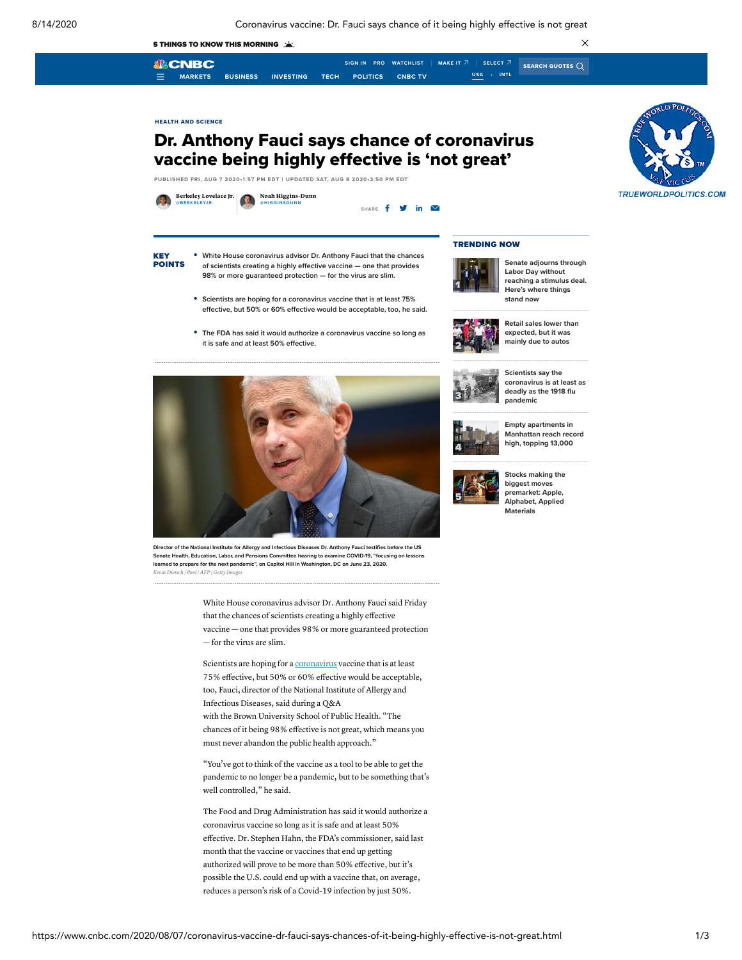

coronavirus vaccine so long as it is safe and at least 50% effective. Dr. Stephen Hahn, the FDA's commissioner, said last month that the vaccine or vaccines that end up getting authorized will prove to be more than 50% effective, but it's possible the U.S. could end up with a vaccine that, on average, reduces a person's risk of a Covid-19 infection by just 50%.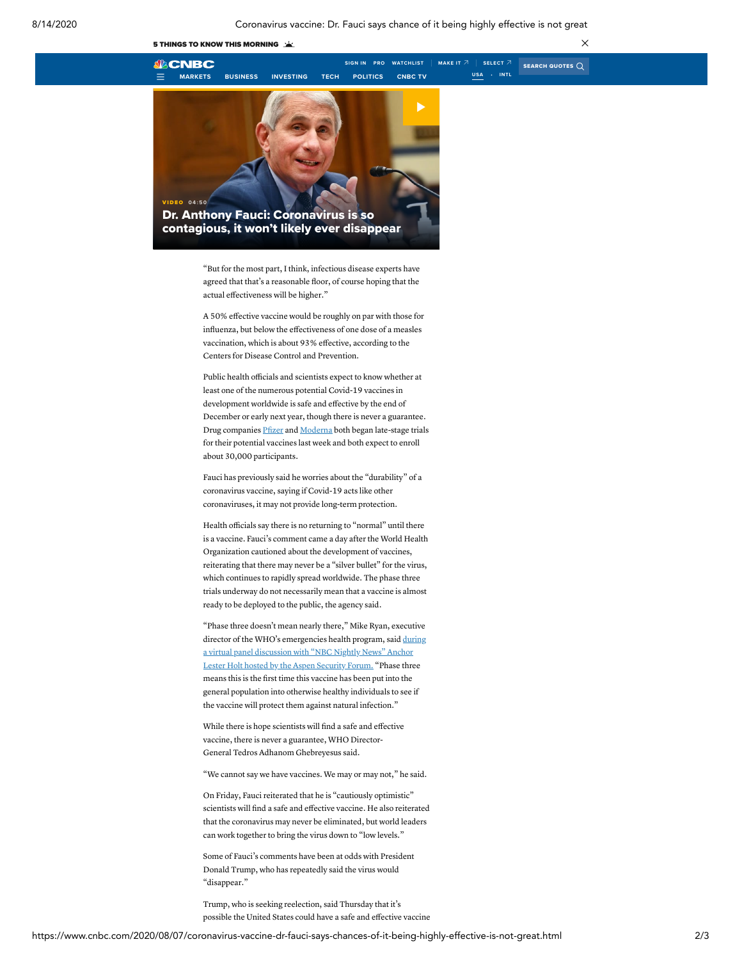



"But for the most part, I think, infectious disease experts have agreed that that's a reasonable floor, of course hoping that the actual effectiveness will be higher."

A 50% effective vaccine would be roughly on par with those for influenza, but below the effectiveness of one dose of a measles vaccination, which is about 93% effective, according to the Centers for Disease Control and Prevention.

Public health officials and scientists expect to know whether at least one of the numerous potential Covid-19 vaccines in development worldwide is safe and effective by the end of December or early next year, though there is never a guarantee. Drug companies [Pfizer](https://www.cnbc.com/quotes/?symbol=PFE) and [Moderna](https://www.cnbc.com/quotes/?symbol=MRNA) both began late-stage trials for their potential vaccines last week and both expect to enroll about 30,000 participants.

Fauci has previously said he worries about the "durability" of a coronavirus vaccine, saying if Covid-19 acts like other coronaviruses, it may not provide long-term protection.

Health officials say there is no returning to "normal" until there is a vaccine. Fauci's comment came a day after the World Health Organization cautioned about the development of vaccines, reiterating that there may never be a "silver bullet" for the virus, which continues to rapidly spread worldwide. The phase three trials underway do not necessarily mean that a vaccine is almost ready to be deployed to the public, the agency said.

"Phase three doesn't mean nearly there," Mike Ryan, executive director of the WHO's [emergencies](https://www.cnbc.com/2020/08/06/watch-live-world-health-organization-holds-qa-on-the-coronavirus.html) health program, said during a virtual panel discussion with "NBC Nightly News" Anchor Lester Holt hosted by the Aspen Security Forum. "Phase three means this is the first time this vaccine has been put into the general population into otherwise healthy individuals to see if the vaccine will protect them against natural infection."

While there is hope scientists will find a safe and effective vaccine, there is never a guarantee, WHO Director-General Tedros Adhanom Ghebreyesus said.

"We cannot say we have vaccines. We may or may not," he said.

On Friday, Fauci reiterated that he is "cautiously optimistic" scientists will find a safe and effective vaccine. He also reiterated that the coronavirus may never be eliminated, but world leaders can work together to bring the virus down to "low levels."

Some of Fauci's comments have been at odds with President Donald Trump, who has repeatedly said the virus would "disappear."

Trump, who is seeking reelection, said Thursday that it's possible the United States could have a safe and effective vaccine